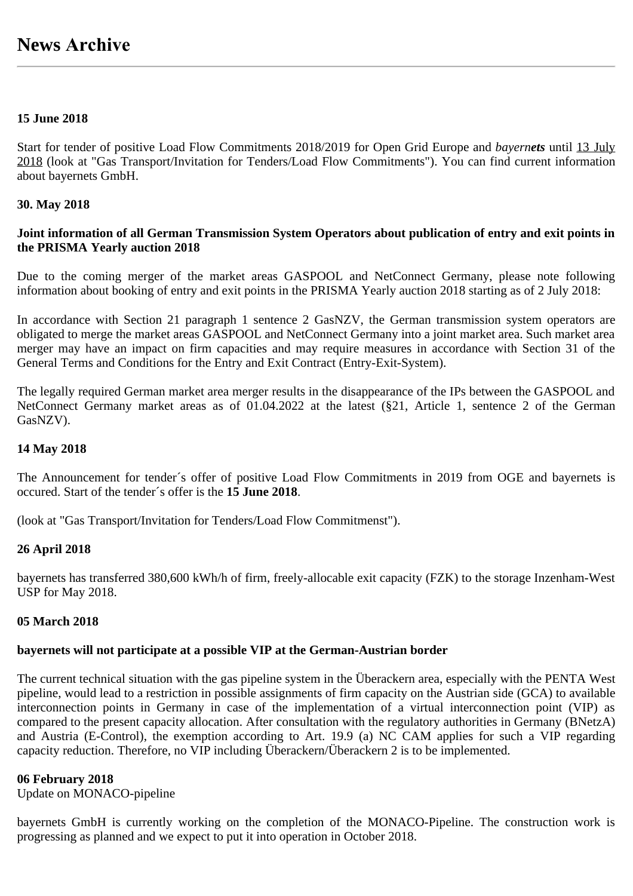## **15 June 2018**

Start for tender of positive Load Flow Commitments 2018/2019 for Open Grid Europe and *bayernets* until 13 July 2018 (look at "Gas Transport/Invitation for Tenders/Load Flow Commitments"). You can find current information about bayernets GmbH.

## **30. May 2018**

## **Joint information of all German Transmission System Operators about publication of entry and exit points in the PRISMA Yearly auction 2018**

Due to the coming merger of the market areas GASPOOL and NetConnect Germany, please note following information about booking of entry and exit points in the PRISMA Yearly auction 2018 starting as of 2 July 2018:

In accordance with Section 21 paragraph 1 sentence 2 GasNZV, the German transmission system operators are obligated to merge the market areas GASPOOL and NetConnect Germany into a joint market area. Such market area merger may have an impact on firm capacities and may require measures in accordance with Section 31 of the General Terms and Conditions for the Entry and Exit Contract (Entry-Exit-System).

The legally required German market area merger results in the disappearance of the IPs between the GASPOOL and NetConnect Germany market areas as of 01.04.2022 at the latest (§21, Article 1, sentence 2 of the German GasNZV).

## **14 May 2018**

The Announcement for tender´s offer of positive Load Flow Commitments in 2019 from OGE and bayernets is occured. Start of the tender´s offer is the **15 June 2018**.

(look at "Gas Transport/Invitation for Tenders/Load Flow Commitmenst").

## **26 April 2018**

bayernets has transferred 380,600 kWh/h of firm, freely-allocable exit capacity (FZK) to the storage Inzenham-West USP for May 2018.

## **05 March 2018**

# **bayernets will not participate at a possible VIP at the German-Austrian border**

The current technical situation with the gas pipeline system in the Überackern area, especially with the PENTA West pipeline, would lead to a restriction in possible assignments of firm capacity on the Austrian side (GCA) to available interconnection points in Germany in case of the implementation of a virtual interconnection point (VIP) as compared to the present capacity allocation. After consultation with the regulatory authorities in Germany (BNetzA) and Austria (E-Control), the exemption according to Art. 19.9 (a) NC CAM applies for such a VIP regarding capacity reduction. Therefore, no VIP including Überackern/Überackern 2 is to be implemented.

# **06 February 2018**

Update on MONACO-pipeline

bayernets GmbH is currently working on the completion of the MONACO-Pipeline. The construction work is progressing as planned and we expect to put it into operation in October 2018.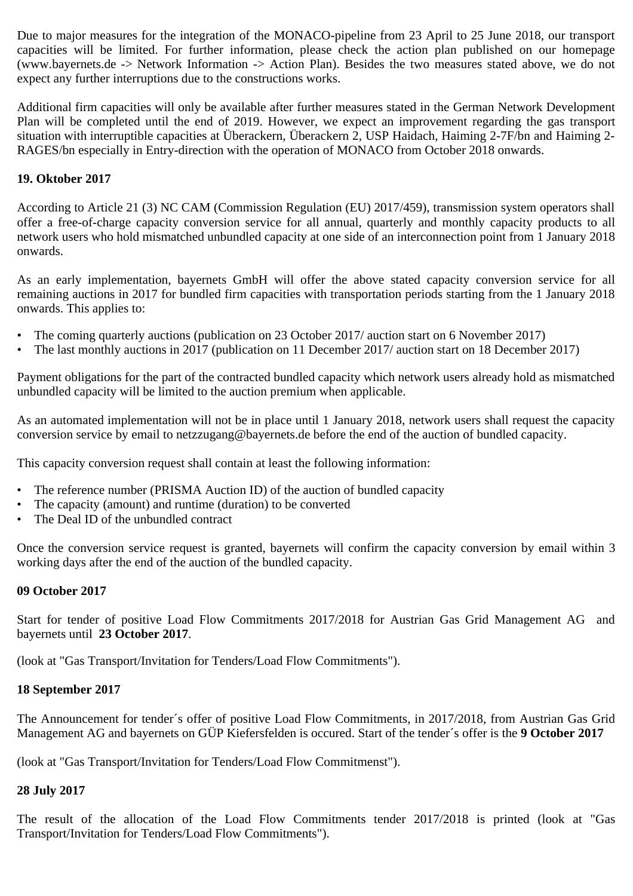Due to major measures for the integration of the MONACO-pipeline from 23 April to 25 June 2018, our transport capacities will be limited. For further information, please check the action plan published on our homepage (www.bayernets.de -> Network Information -> Action Plan). Besides the two measures stated above, we do not expect any further interruptions due to the constructions works.

Additional firm capacities will only be available after further measures stated in the German Network Development Plan will be completed until the end of 2019. However, we expect an improvement regarding the gas transport situation with interruptible capacities at Überackern, Überackern 2, USP Haidach, Haiming 2-7F/bn and Haiming 2- RAGES/bn especially in Entry-direction with the operation of MONACO from October 2018 onwards.

# **19. Oktober 2017**

According to Article 21 (3) NC CAM (Commission Regulation (EU) 2017/459), transmission system operators shall offer a free-of-charge capacity conversion service for all annual, quarterly and monthly capacity products to all network users who hold mismatched unbundled capacity at one side of an interconnection point from 1 January 2018 onwards.

As an early implementation, bayernets GmbH will offer the above stated capacity conversion service for all remaining auctions in 2017 for bundled firm capacities with transportation periods starting from the 1 January 2018 onwards. This applies to:

- The coming quarterly auctions (publication on 23 October 2017/ auction start on 6 November 2017)
- The last monthly auctions in 2017 (publication on 11 December 2017/ auction start on 18 December 2017)

Payment obligations for the part of the contracted bundled capacity which network users already hold as mismatched unbundled capacity will be limited to the auction premium when applicable.

As an automated implementation will not be in place until 1 January 2018, network users shall request the capacity conversion service by email to netzzugang@bayernets.de before the end of the auction of bundled capacity.

This capacity conversion request shall contain at least the following information:

- The reference number (PRISMA Auction ID) of the auction of bundled capacity
- The capacity (amount) and runtime (duration) to be converted
- The Deal ID of the unbundled contract

Once the conversion service request is granted, bayernets will confirm the capacity conversion by email within 3 working days after the end of the auction of the bundled capacity.

## **09 October 2017**

Start for tender of positive Load Flow Commitments 2017/2018 for Austrian Gas Grid Management AG and bayernets until **23 October 2017**.

(look at "Gas Transport/Invitation for Tenders/Load Flow Commitments").

# **18 September 2017**

The Announcement for tender´s offer of positive Load Flow Commitments, in 2017/2018, from Austrian Gas Grid Management AG and bayernets on GÜP Kiefersfelden is occured. Start of the tender´s offer is the **9 October 2017**

(look at "Gas Transport/Invitation for Tenders/Load Flow Commitmenst").

# **28 July 2017**

The result of the allocation of the Load Flow Commitments tender 2017/2018 is printed (look at "Gas Transport/Invitation for Tenders/Load Flow Commitments").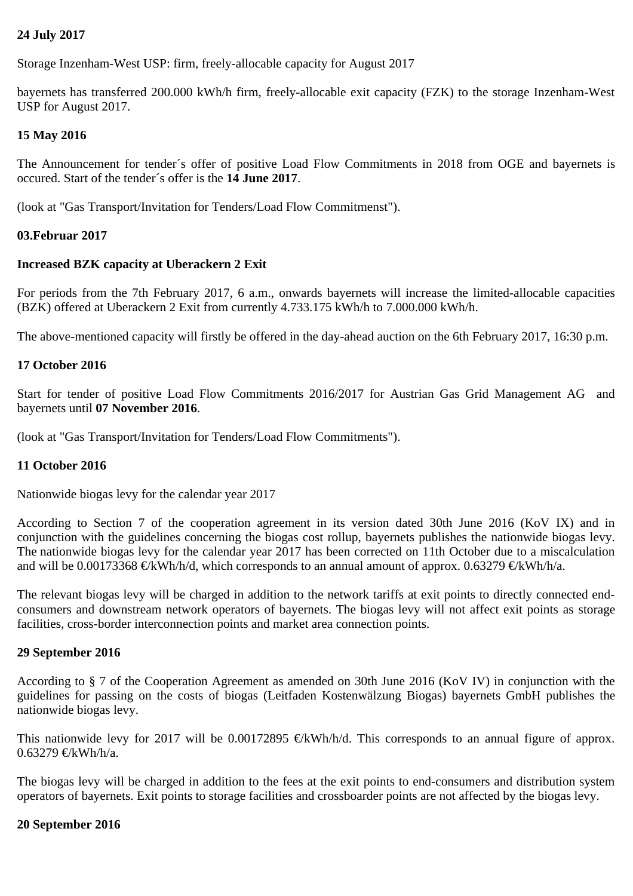# **24 July 2017**

Storage Inzenham-West USP: firm, freely-allocable capacity for August 2017

bayernets has transferred 200.000 kWh/h firm, freely-allocable exit capacity (FZK) to the storage Inzenham-West USP for August 2017.

# **15 May 2016**

The Announcement for tender´s offer of positive Load Flow Commitments in 2018 from OGE and bayernets is occured. Start of the tender´s offer is the **14 June 2017**.

(look at "Gas Transport/Invitation for Tenders/Load Flow Commitmenst").

# **03.Februar 2017**

## **Increased BZK capacity at Uberackern 2 Exit**

For periods from the 7th February 2017, 6 a.m., onwards bayernets will increase the limited-allocable capacities (BZK) offered at Uberackern 2 Exit from currently 4.733.175 kWh/h to 7.000.000 kWh/h.

The above-mentioned capacity will firstly be offered in the day-ahead auction on the 6th February 2017, 16:30 p.m.

## **17 October 2016**

Start for tender of positive Load Flow Commitments 2016/2017 for Austrian Gas Grid Management AG and bayernets until **07 November 2016**.

(look at "Gas Transport/Invitation for Tenders/Load Flow Commitments").

## **11 October 2016**

Nationwide biogas levy for the calendar year 2017

According to Section 7 of the cooperation agreement in its version dated 30th June 2016 (KoV IX) and in conjunction with the guidelines concerning the biogas cost rollup, bayernets publishes the nationwide biogas levy. The nationwide biogas levy for the calendar year 2017 has been corrected on 11th October due to a miscalculation and will be 0.00173368  $\oplus$ kWh/h/d, which corresponds to an annual amount of approx. 0.63279  $\oplus$ kWh/h/a.

The relevant biogas levy will be charged in addition to the network tariffs at exit points to directly connected endconsumers and downstream network operators of bayernets. The biogas levy will not affect exit points as storage facilities, cross-border interconnection points and market area connection points.

## **29 September 2016**

According to § 7 of the Cooperation Agreement as amended on 30th June 2016 (KoV IV) in conjunction with the guidelines for passing on the costs of biogas (Leitfaden Kostenwälzung Biogas) bayernets GmbH publishes the nationwide biogas levy.

This nationwide levy for 2017 will be 0.00172895  $\oplus$ kWh/h/d. This corresponds to an annual figure of approx.  $0.63279 \in$ kWh/h/a.

The biogas levy will be charged in addition to the fees at the exit points to end-consumers and distribution system operators of bayernets. Exit points to storage facilities and crossboarder points are not affected by the biogas levy.

## **20 September 2016**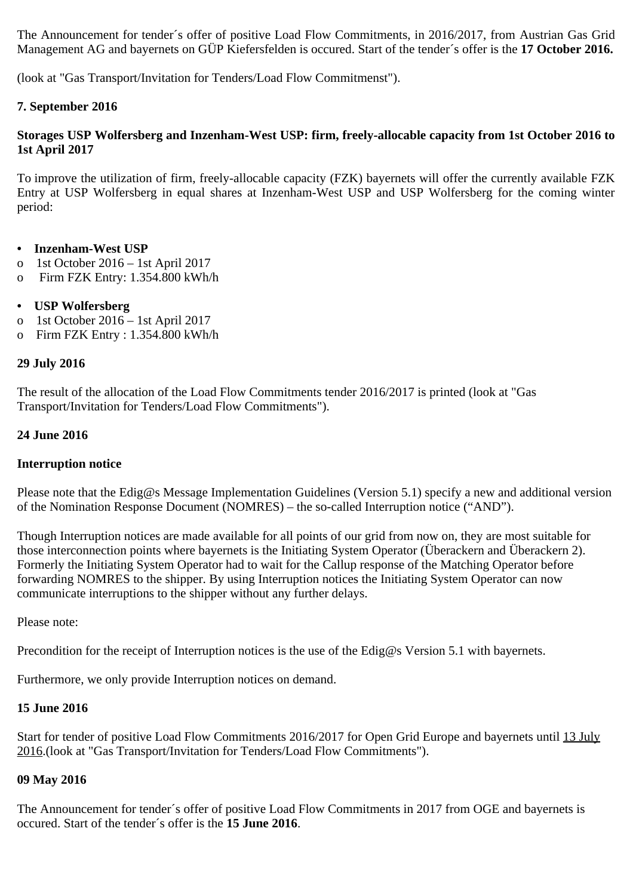The Announcement for tender´s offer of positive Load Flow Commitments, in 2016/2017, from Austrian Gas Grid Management AG and bayernets on GÜP Kiefersfelden is occured. Start of the tender´s offer is the **17 October 2016.**

(look at "Gas Transport/Invitation for Tenders/Load Flow Commitmenst").

## **7. September 2016**

## **Storages USP Wolfersberg and Inzenham-West USP: firm, freely-allocable capacity from 1st October 2016 to 1st April 2017**

To improve the utilization of firm, freely-allocable capacity (FZK) bayernets will offer the currently available FZK Entry at USP Wolfersberg in equal shares at Inzenham-West USP and USP Wolfersberg for the coming winter period:

## **• Inzenham-West USP**

- o 1st October 2016 1st April 2017
- o Firm FZK Entry: 1.354.800 kWh/h

## **• USP Wolfersberg**

- o 1st October 2016 1st April 2017
- o Firm FZK Entry : 1.354.800 kWh/h

## **29 July 2016**

The result of the allocation of the Load Flow Commitments tender 2016/2017 is printed (look at "Gas Transport/Invitation for Tenders/Load Flow Commitments").

# **24 June 2016**

## **Interruption notice**

Please note that the Edig@s Message Implementation Guidelines (Version 5.1) specify a new and additional version of the Nomination Response Document (NOMRES) – the so-called Interruption notice ("AND").

Though Interruption notices are made available for all points of our grid from now on, they are most suitable for those interconnection points where bayernets is the Initiating System Operator (Überackern and Überackern 2). Formerly the Initiating System Operator had to wait for the Callup response of the Matching Operator before forwarding NOMRES to the shipper. By using Interruption notices the Initiating System Operator can now communicate interruptions to the shipper without any further delays.

Please note:

Precondition for the receipt of Interruption notices is the use of the Edig@s Version 5.1 with bayernets.

Furthermore, we only provide Interruption notices on demand.

## **15 June 2016**

Start for tender of positive Load Flow Commitments 2016/2017 for Open Grid Europe and bayernets until 13 July 2016.(look at "Gas Transport/Invitation for Tenders/Load Flow Commitments").

## **09 May 2016**

The Announcement for tender´s offer of positive Load Flow Commitments in 2017 from OGE and bayernets is occured. Start of the tender´s offer is the **15 June 2016**.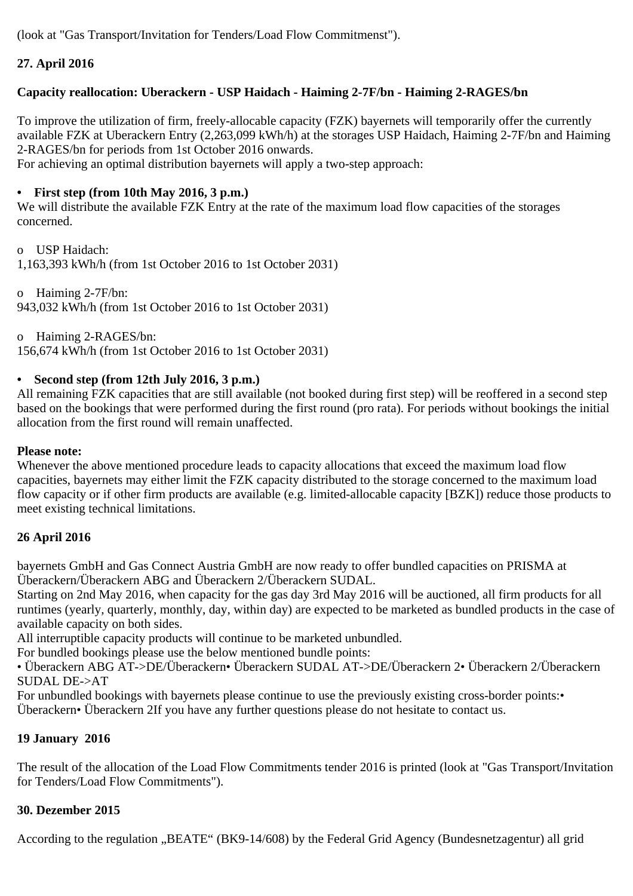(look at "Gas Transport/Invitation for Tenders/Load Flow Commitmenst").

# **27. April 2016**

# **Capacity reallocation: Uberackern - USP Haidach - Haiming 2-7F/bn - Haiming 2-RAGES/bn**

To improve the utilization of firm, freely-allocable capacity (FZK) bayernets will temporarily offer the currently available FZK at Uberackern Entry (2,263,099 kWh/h) at the storages USP Haidach, Haiming 2-7F/bn and Haiming 2-RAGES/bn for periods from 1st October 2016 onwards.

For achieving an optimal distribution bayernets will apply a two-step approach:

# **• First step (from 10th May 2016, 3 p.m.)**

We will distribute the available FZK Entry at the rate of the maximum load flow capacities of the storages concerned.

o USP Haidach:

1,163,393 kWh/h (from 1st October 2016 to 1st October 2031)

o Haiming 2-7F/bn: 943,032 kWh/h (from 1st October 2016 to 1st October 2031)

o Haiming 2-RAGES/bn: 156,674 kWh/h (from 1st October 2016 to 1st October 2031)

# **• Second step (from 12th July 2016, 3 p.m.)**

All remaining FZK capacities that are still available (not booked during first step) will be reoffered in a second step based on the bookings that were performed during the first round (pro rata). For periods without bookings the initial allocation from the first round will remain unaffected.

## **Please note:**

Whenever the above mentioned procedure leads to capacity allocations that exceed the maximum load flow capacities, bayernets may either limit the FZK capacity distributed to the storage concerned to the maximum load flow capacity or if other firm products are available (e.g. limited-allocable capacity [BZK]) reduce those products to meet existing technical limitations.

# **26 April 2016**

bayernets GmbH and Gas Connect Austria GmbH are now ready to offer bundled capacities on PRISMA at Überackern/Überackern ABG and Überackern 2/Überackern SUDAL.

Starting on 2nd May 2016, when capacity for the gas day 3rd May 2016 will be auctioned, all firm products for all runtimes (yearly, quarterly, monthly, day, within day) are expected to be marketed as bundled products in the case of available capacity on both sides.

All interruptible capacity products will continue to be marketed unbundled.

For bundled bookings please use the below mentioned bundle points:

• Überackern ABG AT->DE/Überackern• Überackern SUDAL AT->DE/Überackern 2• Überackern 2/Überackern SUDAL DE->AT

For unbundled bookings with bayernets please continue to use the previously existing cross-border points: Überackern• Überackern 2If you have any further questions please do not hesitate to contact us.

# **19 January 2016**

The result of the allocation of the Load Flow Commitments tender 2016 is printed (look at "Gas Transport/Invitation for Tenders/Load Flow Commitments").

# **30. Dezember 2015**

According to the regulation "BEATE" (BK9-14/608) by the Federal Grid Agency (Bundesnetzagentur) all grid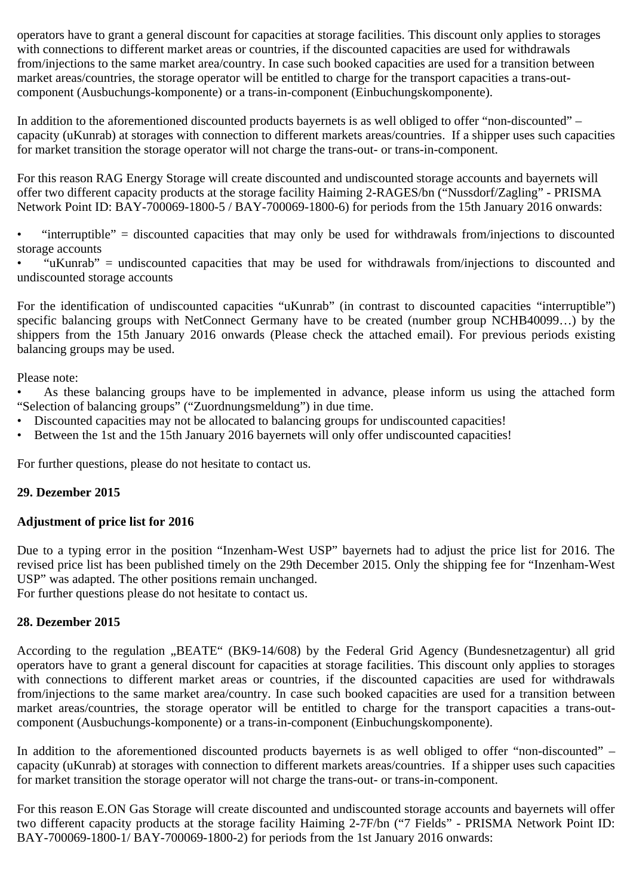operators have to grant a general discount for capacities at storage facilities. This discount only applies to storages with connections to different market areas or countries, if the discounted capacities are used for withdrawals from/injections to the same market area/country. In case such booked capacities are used for a transition between market areas/countries, the storage operator will be entitled to charge for the transport capacities a trans-outcomponent (Ausbuchungs-komponente) or a trans-in-component (Einbuchungskomponente).

In addition to the aforementioned discounted products bayernets is as well obliged to offer "non-discounted" – capacity (uKunrab) at storages with connection to different markets areas/countries. If a shipper uses such capacities for market transition the storage operator will not charge the trans-out- or trans-in-component.

For this reason RAG Energy Storage will create discounted and undiscounted storage accounts and bayernets will offer two different capacity products at the storage facility Haiming 2-RAGES/bn ("Nussdorf/Zagling" - PRISMA Network Point ID: BAY-700069-1800-5 / BAY-700069-1800-6) for periods from the 15th January 2016 onwards:

• "interruptible" = discounted capacities that may only be used for withdrawals from/injections to discounted storage accounts

• "uKunrab" = undiscounted capacities that may be used for withdrawals from/injections to discounted and undiscounted storage accounts

For the identification of undiscounted capacities "uKunrab" (in contrast to discounted capacities "interruptible") specific balancing groups with NetConnect Germany have to be created (number group NCHB40099…) by the shippers from the 15th January 2016 onwards (Please check the attached email). For previous periods existing balancing groups may be used.

Please note:

• As these balancing groups have to be implemented in advance, please inform us using the attached form "Selection of balancing groups" ("Zuordnungsmeldung") in due time.

- Discounted capacities may not be allocated to balancing groups for undiscounted capacities!
- Between the 1st and the 15th January 2016 bayernets will only offer undiscounted capacities!

For further questions, please do not hesitate to contact us.

# **29. Dezember 2015**

# **Adjustment of price list for 2016**

Due to a typing error in the position "Inzenham-West USP" bayernets had to adjust the price list for 2016. The revised price list has been published timely on the 29th December 2015. Only the shipping fee for "Inzenham-West USP" was adapted. The other positions remain unchanged.

For further questions please do not hesitate to contact us.

# **28. Dezember 2015**

According to the regulation "BEATE" (BK9-14/608) by the Federal Grid Agency (Bundesnetzagentur) all grid operators have to grant a general discount for capacities at storage facilities. This discount only applies to storages with connections to different market areas or countries, if the discounted capacities are used for withdrawals from/injections to the same market area/country. In case such booked capacities are used for a transition between market areas/countries, the storage operator will be entitled to charge for the transport capacities a trans-outcomponent (Ausbuchungs-komponente) or a trans-in-component (Einbuchungskomponente).

In addition to the aforementioned discounted products bayernets is as well obliged to offer "non-discounted" – capacity (uKunrab) at storages with connection to different markets areas/countries. If a shipper uses such capacities for market transition the storage operator will not charge the trans-out- or trans-in-component.

For this reason E.ON Gas Storage will create discounted and undiscounted storage accounts and bayernets will offer two different capacity products at the storage facility Haiming 2-7F/bn ("7 Fields" - PRISMA Network Point ID: BAY-700069-1800-1/ BAY-700069-1800-2) for periods from the 1st January 2016 onwards: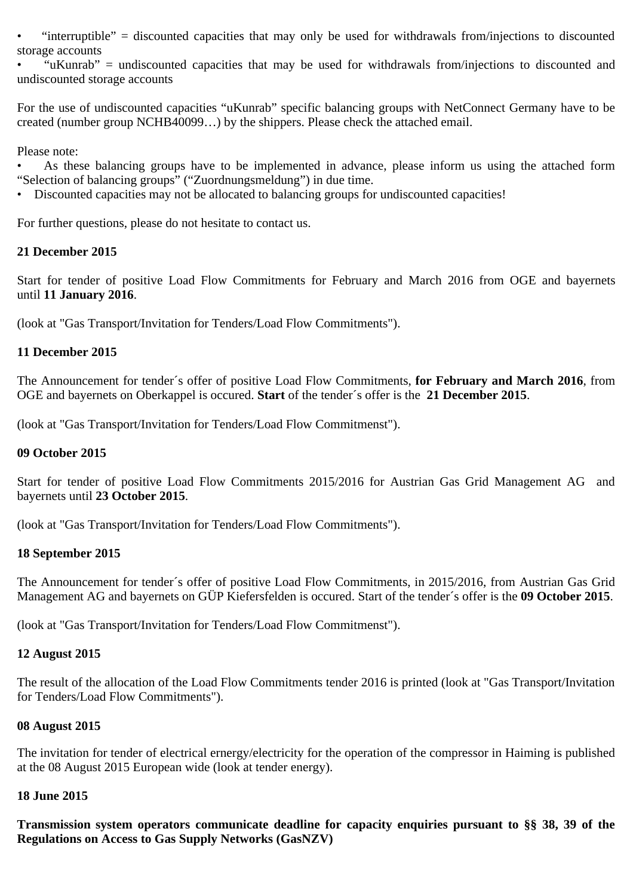• "interruptible" = discounted capacities that may only be used for withdrawals from/injections to discounted storage accounts

• "uKunrab" = undiscounted capacities that may be used for withdrawals from/injections to discounted and undiscounted storage accounts

For the use of undiscounted capacities "uKunrab" specific balancing groups with NetConnect Germany have to be created (number group NCHB40099…) by the shippers. Please check the attached email.

Please note:

As these balancing groups have to be implemented in advance, please inform us using the attached form "Selection of balancing groups" ("Zuordnungsmeldung") in due time.

• Discounted capacities may not be allocated to balancing groups for undiscounted capacities!

For further questions, please do not hesitate to contact us.

# **21 December 2015**

Start for tender of positive Load Flow Commitments for February and March 2016 from OGE and bayernets until **11 January 2016**.

(look at "Gas Transport/Invitation for Tenders/Load Flow Commitments").

# **11 December 2015**

The Announcement for tender´s offer of positive Load Flow Commitments, **for February and March 2016**, from OGE and bayernets on Oberkappel is occured. **Start** of the tender´s offer is the **21 December 2015**.

(look at "Gas Transport/Invitation for Tenders/Load Flow Commitmenst").

## **09 October 2015**

Start for tender of positive Load Flow Commitments 2015/2016 for Austrian Gas Grid Management AG and bayernets until **23 October 2015**.

(look at "Gas Transport/Invitation for Tenders/Load Flow Commitments").

## **18 September 2015**

The Announcement for tender´s offer of positive Load Flow Commitments, in 2015/2016, from Austrian Gas Grid Management AG and bayernets on GÜP Kiefersfelden is occured. Start of the tender´s offer is the **09 October 2015**.

(look at "Gas Transport/Invitation for Tenders/Load Flow Commitmenst").

## **12 August 2015**

The result of the allocation of the Load Flow Commitments tender 2016 is printed (look at "Gas Transport/Invitation for Tenders/Load Flow Commitments").

## **08 August 2015**

The invitation for tender of electrical ernergy/electricity for the operation of the compressor in Haiming is published at the 08 August 2015 European wide (look at tender energy).

## **18 June 2015**

**Transmission system operators communicate deadline for capacity enquiries pursuant to §§ 38, 39 of the Regulations on Access to Gas Supply Networks (GasNZV)**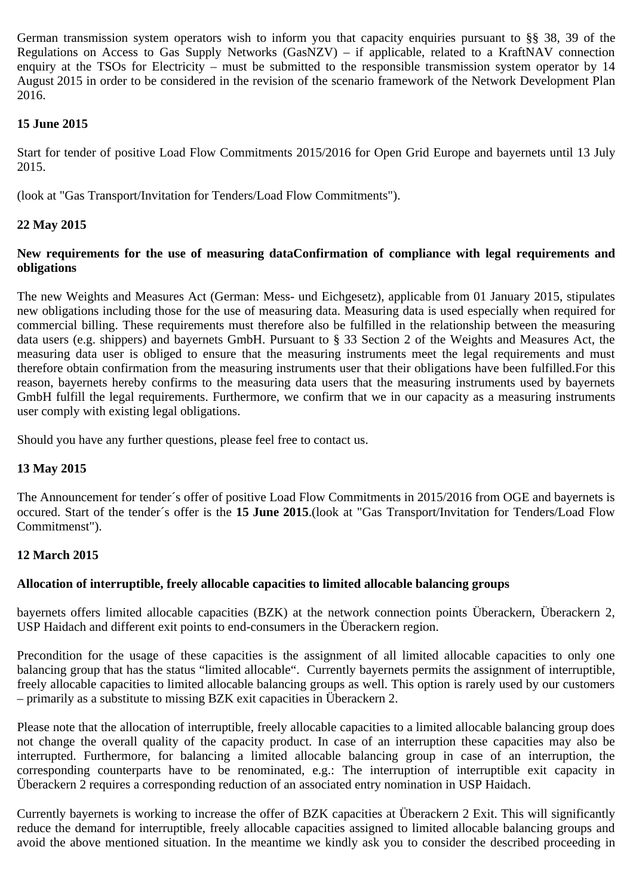German transmission system operators wish to inform you that capacity enquiries pursuant to §§ 38, 39 of the Regulations on Access to Gas Supply Networks (GasNZV) – if applicable, related to a KraftNAV connection enquiry at the TSOs for Electricity – must be submitted to the responsible transmission system operator by 14 August 2015 in order to be considered in the revision of the scenario framework of the Network Development Plan 2016.

# **15 June 2015**

Start for tender of positive Load Flow Commitments 2015/2016 for Open Grid Europe and bayernets until 13 July 2015.

(look at "Gas Transport/Invitation for Tenders/Load Flow Commitments").

# **22 May 2015**

# **New requirements for the use of measuring dataConfirmation of compliance with legal requirements and obligations**

The new Weights and Measures Act (German: Mess- und Eichgesetz), applicable from 01 January 2015, stipulates new obligations including those for the use of measuring data. Measuring data is used especially when required for commercial billing. These requirements must therefore also be fulfilled in the relationship between the measuring data users (e.g. shippers) and bayernets GmbH. Pursuant to § 33 Section 2 of the Weights and Measures Act, the measuring data user is obliged to ensure that the measuring instruments meet the legal requirements and must therefore obtain confirmation from the measuring instruments user that their obligations have been fulfilled.For this reason, bayernets hereby confirms to the measuring data users that the measuring instruments used by bayernets GmbH fulfill the legal requirements. Furthermore, we confirm that we in our capacity as a measuring instruments user comply with existing legal obligations.

Should you have any further questions, please feel free to contact us.

# **13 May 2015**

The Announcement for tender´s offer of positive Load Flow Commitments in 2015/2016 from OGE and bayernets is occured. Start of the tender´s offer is the **15 June 2015**.(look at "Gas Transport/Invitation for Tenders/Load Flow Commitmenst").

# **12 March 2015**

# **Allocation of interruptible, freely allocable capacities to limited allocable balancing groups**

bayernets offers limited allocable capacities (BZK) at the network connection points Überackern, Überackern 2, USP Haidach and different exit points to end-consumers in the Überackern region.

Precondition for the usage of these capacities is the assignment of all limited allocable capacities to only one balancing group that has the status "limited allocable". Currently bayernets permits the assignment of interruptible, freely allocable capacities to limited allocable balancing groups as well. This option is rarely used by our customers – primarily as a substitute to missing BZK exit capacities in Überackern 2.

Please note that the allocation of interruptible, freely allocable capacities to a limited allocable balancing group does not change the overall quality of the capacity product. In case of an interruption these capacities may also be interrupted. Furthermore, for balancing a limited allocable balancing group in case of an interruption, the corresponding counterparts have to be renominated, e.g.: The interruption of interruptible exit capacity in Überackern 2 requires a corresponding reduction of an associated entry nomination in USP Haidach.

Currently bayernets is working to increase the offer of BZK capacities at Überackern 2 Exit. This will significantly reduce the demand for interruptible, freely allocable capacities assigned to limited allocable balancing groups and avoid the above mentioned situation. In the meantime we kindly ask you to consider the described proceeding in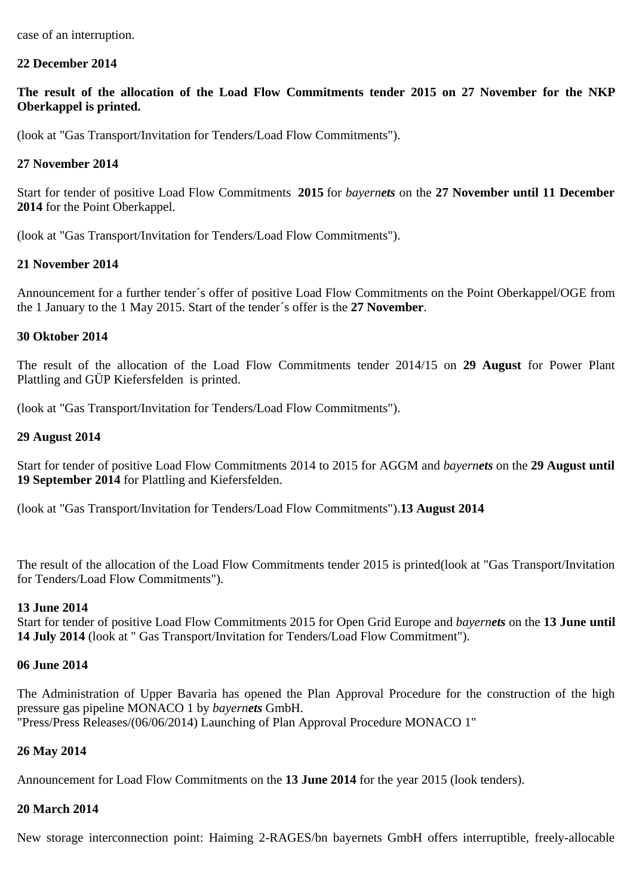case of an interruption.

## **22 December 2014**

**The result of the allocation of the Load Flow Commitments tender 2015 on 27 November for the NKP Oberkappel is printed.**

(look at "Gas Transport/Invitation for Tenders/Load Flow Commitments").

## **27 November 2014**

Start for tender of positive Load Flow Commitments **2015** for *bayernets* on the **27 November until 11 December 2014** for the Point Oberkappel.

(look at "Gas Transport/Invitation for Tenders/Load Flow Commitments").

## **21 November 2014**

Announcement for a further tender´s offer of positive Load Flow Commitments on the Point Oberkappel/OGE from the 1 January to the 1 May 2015. Start of the tender´s offer is the **27 November**.

## **30 Oktober 2014**

The result of the allocation of the Load Flow Commitments tender 2014/15 on **29 August** for Power Plant Plattling and GÜP Kiefersfelden is printed.

(look at "Gas Transport/Invitation for Tenders/Load Flow Commitments").

## **29 August 2014**

Start for tender of positive Load Flow Commitments 2014 to 2015 for AGGM and *bayernets* on the **29 August until 19 September 2014** for Plattling and Kiefersfelden.

(look at "Gas Transport/Invitation for Tenders/Load Flow Commitments").**13 August 2014**

The result of the allocation of the Load Flow Commitments tender 2015 is printed(look at "Gas Transport/Invitation for Tenders/Load Flow Commitments").

## **13 June 2014**

Start for tender of positive Load Flow Commitments 2015 for Open Grid Europe and *bayernets* on the **13 June until 14 July 2014** (look at " Gas Transport/Invitation for Tenders/Load Flow Commitment").

## **06 June 2014**

The Administration of Upper Bavaria has opened the Plan Approval Procedure for the construction of the high pressure gas pipeline MONACO 1 by *bayernets* GmbH. "Press/Press Releases/(06/06/2014) Launching of Plan Approval Procedure MONACO 1"

# **26 May 2014**

Announcement for Load Flow Commitments on the **13 June 2014** for the year 2015 (look tenders).

## **20 March 2014**

New storage interconnection point: Haiming 2-RAGES/bn bayernets GmbH offers interruptible, freely-allocable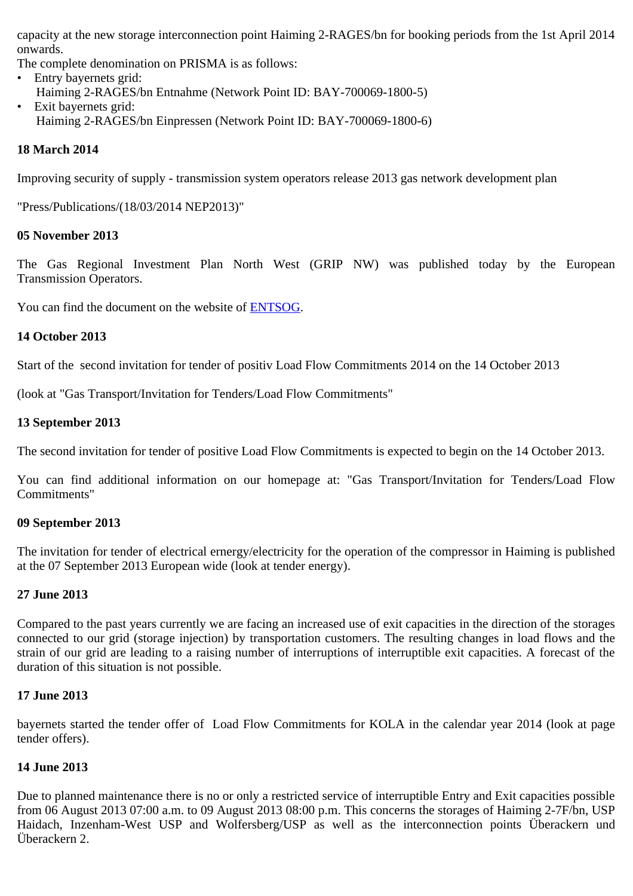capacity at the new storage interconnection point Haiming 2-RAGES/bn for booking periods from the 1st April 2014 onwards.

The complete denomination on PRISMA is as follows:

- Entry bayernets grid: Haiming 2-RAGES/bn Entnahme (Network Point ID: BAY-700069-1800-5) • Exit bayernets grid:
	- Haiming 2-RAGES/bn Einpressen (Network Point ID: BAY-700069-1800-6)

# **18 March 2014**

Improving security of supply - transmission system operators release 2013 gas network development plan

"Press/Publications/(18/03/2014 NEP2013)"

## **05 November 2013**

The Gas Regional Investment Plan North West (GRIP NW) was published today by the European Transmission Operators.

You can find the document on the website of [ENTSOG](http://www.entsog.eu/publications/gas-regional-investment-plan-grips#NORTH-WEST).

## **14 October 2013**

Start of the second invitation for tender of positiv Load Flow Commitments 2014 on the 14 October 2013

(look at "Gas Transport/Invitation for Tenders/Load Flow Commitments"

## **13 September 2013**

The second invitation for tender of positive Load Flow Commitments is expected to begin on the 14 October 2013.

You can find additional information on our homepage at: "Gas Transport/Invitation for Tenders/Load Flow Commitments"

## **09 September 2013**

The invitation for tender of electrical ernergy/electricity for the operation of the compressor in Haiming is published at the 07 September 2013 European wide (look at tender energy).

## **27 June 2013**

Compared to the past years currently we are facing an increased use of exit capacities in the direction of the storages connected to our grid (storage injection) by transportation customers. The resulting changes in load flows and the strain of our grid are leading to a raising number of interruptions of interruptible exit capacities. A forecast of the duration of this situation is not possible.

## **17 June 2013**

bayernets started the tender offer of Load Flow Commitments for KOLA in the calendar year 2014 (look at page tender offers).

## **14 June 2013**

Due to planned maintenance there is no or only a restricted service of interruptible Entry and Exit capacities possible from 06 August 2013 07:00 a.m. to 09 August 2013 08:00 p.m. This concerns the storages of Haiming 2-7F/bn, USP Haidach, Inzenham-West USP and Wolfersberg/USP as well as the interconnection points Überackern und Überackern 2.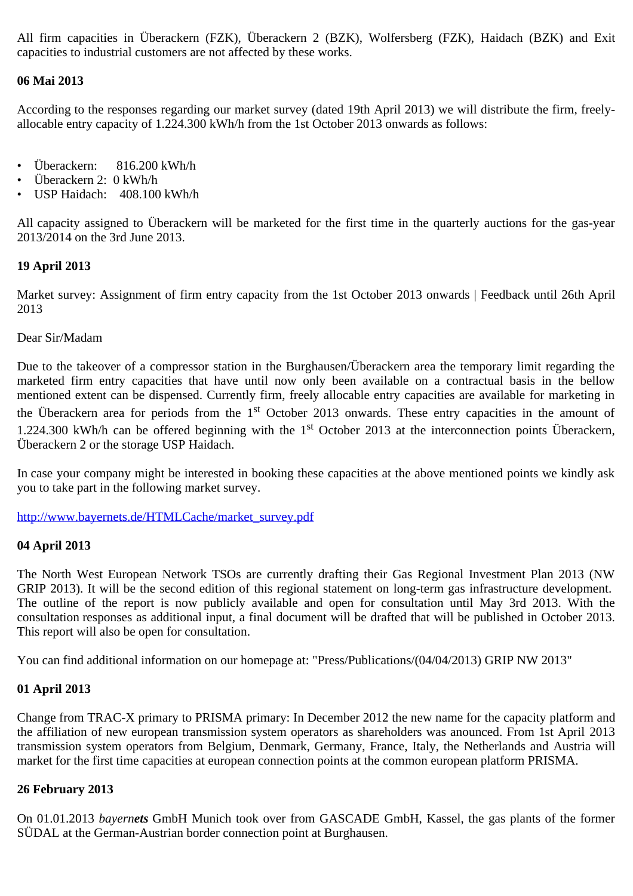All firm capacities in Überackern (FZK), Überackern 2 (BZK), Wolfersberg (FZK), Haidach (BZK) and Exit capacities to industrial customers are not affected by these works.

# **06 Mai 2013**

According to the responses regarding our market survey (dated 19th April 2013) we will distribute the firm, freelyallocable entry capacity of 1.224.300 kWh/h from the 1st October 2013 onwards as follows:

- Überackern: 816.200 kWh/h
- Überackern 2: 0 kWh/h
- USP Haidach: 408.100 kWh/h

All capacity assigned to Überackern will be marketed for the first time in the quarterly auctions for the gas-year 2013/2014 on the 3rd June 2013.

## **19 April 2013**

Market survey: Assignment of firm entry capacity from the 1st October 2013 onwards | Feedback until 26th April 2013

## Dear Sir/Madam

Due to the takeover of a compressor station in the Burghausen/Überackern area the temporary limit regarding the marketed firm entry capacities that have until now only been available on a contractual basis in the bellow mentioned extent can be dispensed. Currently firm, freely allocable entry capacities are available for marketing in the Überackern area for periods from the  $1<sup>st</sup>$  October 2013 onwards. These entry capacities in the amount of 1.224.300 kWh/h can be offered beginning with the 1<sup>st</sup> October 2013 at the interconnection points Überackern, Überackern 2 or the storage USP Haidach.

In case your company might be interested in booking these capacities at the above mentioned points we kindly ask you to take part in the following market survey.

[http://www.bayernets.de/HTMLCache/market\\_survey.pdf](http://www.bayernets.de/HTMLCache/market_survey.pdf)

## **04 April 2013**

The North West European Network TSOs are currently drafting their Gas Regional Investment Plan 2013 (NW GRIP 2013). It will be the second edition of this regional statement on long-term gas infrastructure development. The outline of the report is now publicly available and open for consultation until May 3rd 2013. With the consultation responses as additional input, a final document will be drafted that will be published in October 2013. This report will also be open for consultation.

You can find additional information on our homepage at: "Press/Publications/(04/04/2013) GRIP NW 2013"

## **01 April 2013**

Change from TRAC-X primary to PRISMA primary: In December 2012 the new name for the capacity platform and the affiliation of new european transmission system operators as shareholders was anounced. From 1st April 2013 transmission system operators from Belgium, Denmark, Germany, France, Italy, the Netherlands and Austria will market for the first time capacities at european connection points at the common european platform PRISMA.

## **26 February 2013**

On 01.01.2013 *bayernets* GmbH Munich took over from GASCADE GmbH, Kassel, the gas plants of the former SÜDAL at the German-Austrian border connection point at Burghausen.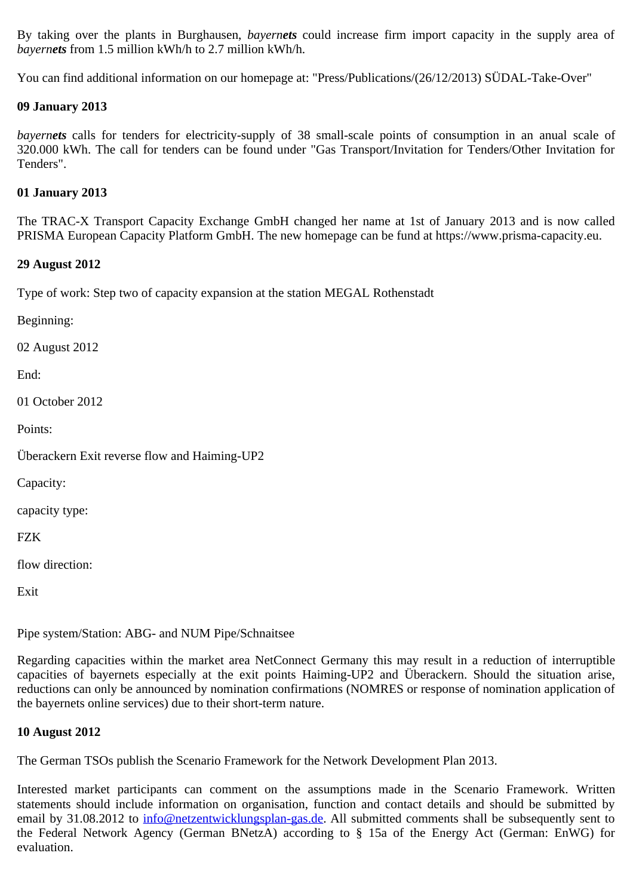By taking over the plants in Burghausen, *bayernets* could increase firm import capacity in the supply area of *bayernets* from 1.5 million kWh/h to 2.7 million kWh/h.

You can find additional information on our homepage at: "Press/Publications/(26/12/2013) SÜDAL-Take-Over"

## **09 January 2013**

*bayernets* calls for tenders for electricity-supply of 38 small-scale points of consumption in an anual scale of 320.000 kWh. The call for tenders can be found under "Gas Transport/Invitation for Tenders/Other Invitation for Tenders".

## **01 January 2013**

The TRAC-X Transport Capacity Exchange GmbH changed her name at 1st of January 2013 and is now called PRISMA European Capacity Platform GmbH. The new homepage can be fund at https://www.prisma-capacity.eu.

## **29 August 2012**

Type of work: Step two of capacity expansion at the station MEGAL Rothenstadt

Beginning:

02 August 2012

End:

01 October 2012

Points:

Überackern Exit reverse flow and Haiming-UP2

Capacity:

capacity type:

**FZK** 

flow direction:

Exit

Pipe system/Station: ABG- and NUM Pipe/Schnaitsee

Regarding capacities within the market area NetConnect Germany this may result in a reduction of interruptible capacities of bayernets especially at the exit points Haiming-UP2 and Überackern. Should the situation arise, reductions can only be announced by nomination confirmations (NOMRES or response of nomination application of the bayernets online services) due to their short-term nature.

## **10 August 2012**

The German TSOs publish the Scenario Framework for the Network Development Plan 2013.

Interested market participants can comment on the assumptions made in the Scenario Framework. Written statements should include information on organisation, function and contact details and should be submitted by email by 31.08.2012 to [info@netzentwicklungsplan-gas.de](mailto:info@netzentwicklungsplan-gas.de). All submitted comments shall be subsequently sent to the Federal Network Agency (German BNetzA) according to § 15a of the Energy Act (German: EnWG) for evaluation.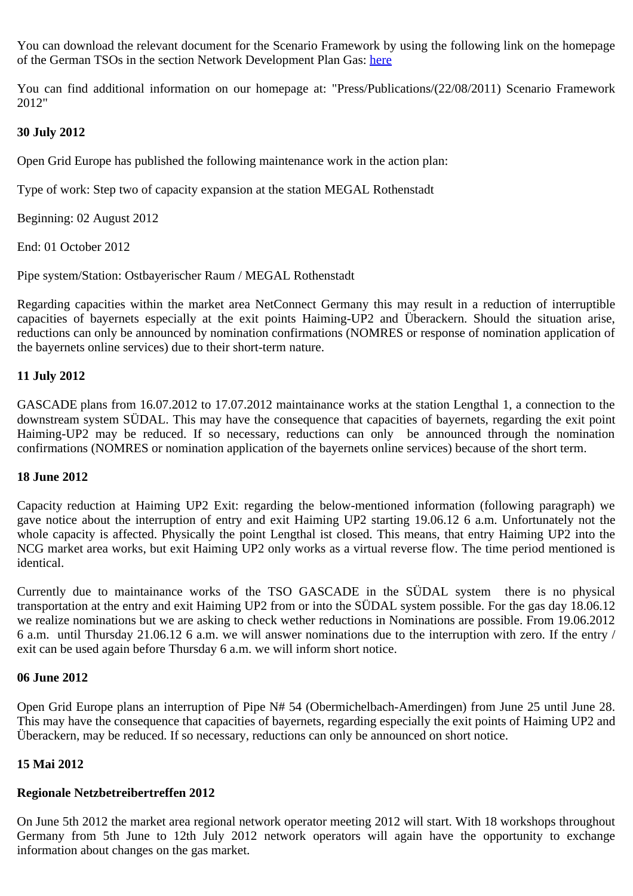You can download the relevant document for the Scenario Framework by using the following link on the homepage of the German TSOs in the section Network Development Plan Gas: [here](http://www.netzentwicklungsplan-gas.de/)

You can find additional information on our homepage at: "Press/Publications/(22/08/2011) Scenario Framework 2012"

# **30 July 2012**

Open Grid Europe has published the following maintenance work in the action plan:

Type of work: Step two of capacity expansion at the station MEGAL Rothenstadt

Beginning: 02 August 2012

End: 01 October 2012

Pipe system/Station: Ostbayerischer Raum / MEGAL Rothenstadt

Regarding capacities within the market area NetConnect Germany this may result in a reduction of interruptible capacities of bayernets especially at the exit points Haiming-UP2 and Überackern. Should the situation arise, reductions can only be announced by nomination confirmations (NOMRES or response of nomination application of the bayernets online services) due to their short-term nature.

# **11 July 2012**

GASCADE plans from 16.07.2012 to 17.07.2012 maintainance works at the station Lengthal 1, a connection to the downstream system SÜDAL. This may have the consequence that capacities of bayernets, regarding the exit point Haiming-UP2 may be reduced. If so necessary, reductions can only be announced through the nomination confirmations (NOMRES or nomination application of the bayernets online services) because of the short term.

## **18 June 2012**

Capacity reduction at Haiming UP2 Exit: regarding the below-mentioned information (following paragraph) we gave notice about the interruption of entry and exit Haiming UP2 starting 19.06.12 6 a.m. Unfortunately not the whole capacity is affected. Physically the point Lengthal ist closed. This means, that entry Haiming UP2 into the NCG market area works, but exit Haiming UP2 only works as a virtual reverse flow. The time period mentioned is identical.

Currently due to maintainance works of the TSO GASCADE in the SÜDAL system there is no physical transportation at the entry and exit Haiming UP2 from or into the SÜDAL system possible. For the gas day 18.06.12 we realize nominations but we are asking to check wether reductions in Nominations are possible. From 19.06.2012 6 a.m. until Thursday 21.06.12 6 a.m. we will answer nominations due to the interruption with zero. If the entry / exit can be used again before Thursday 6 a.m. we will inform short notice.

# **06 June 2012**

Open Grid Europe plans an interruption of Pipe N# 54 (Obermichelbach-Amerdingen) from June 25 until June 28. This may have the consequence that capacities of bayernets, regarding especially the exit points of Haiming UP2 and Überackern, may be reduced. If so necessary, reductions can only be announced on short notice.

# **15 Mai 2012**

# **Regionale Netzbetreibertreffen 2012**

On June 5th 2012 the market area regional network operator meeting 2012 will start. With 18 workshops throughout Germany from 5th June to 12th July 2012 network operators will again have the opportunity to exchange information about changes on the gas market.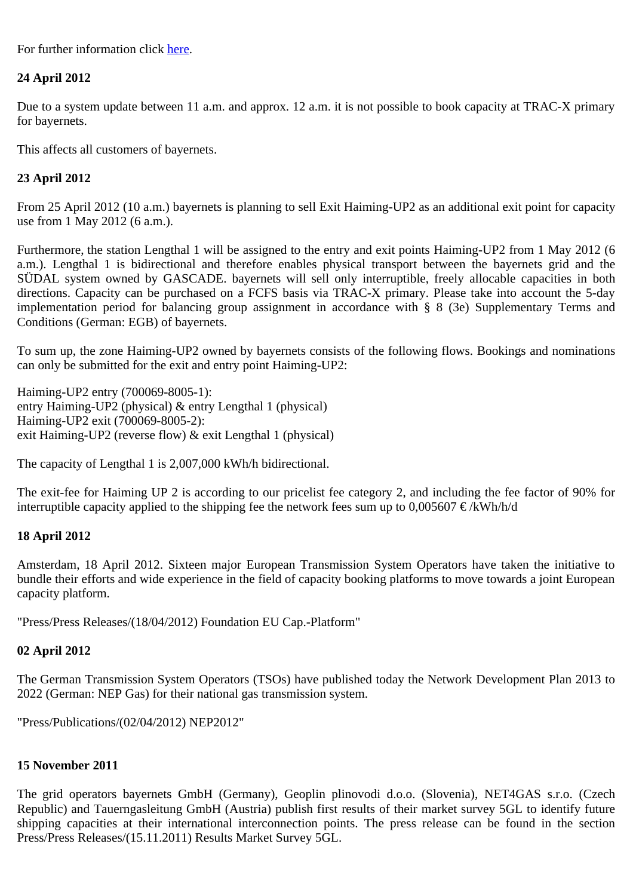For further information click [here](https://172.26.26.115/start_gastransport_en.aspx?int_name=_73543).

# **24 April 2012**

Due to a system update between 11 a.m. and approx. 12 a.m. it is not possible to book capacity at TRAC-X primary for bayernets.

This affects all customers of bayernets.

# **23 April 2012**

From 25 April 2012 (10 a.m.) bayernets is planning to sell Exit Haiming-UP2 as an additional exit point for capacity use from 1 May 2012 (6 a.m.).

Furthermore, the station Lengthal 1 will be assigned to the entry and exit points Haiming-UP2 from 1 May 2012 (6 a.m.). Lengthal 1 is bidirectional and therefore enables physical transport between the bayernets grid and the SÜDAL system owned by GASCADE. bayernets will sell only interruptible, freely allocable capacities in both directions. Capacity can be purchased on a FCFS basis via TRAC-X primary. Please take into account the 5-day implementation period for balancing group assignment in accordance with § 8 (3e) Supplementary Terms and Conditions (German: EGB) of bayernets.

To sum up, the zone Haiming-UP2 owned by bayernets consists of the following flows. Bookings and nominations can only be submitted for the exit and entry point Haiming-UP2:

Haiming-UP2 entry (700069-8005-1): entry Haiming-UP2 (physical) & entry Lengthal 1 (physical) Haiming-UP2 exit (700069-8005-2): exit Haiming-UP2 (reverse flow) & exit Lengthal 1 (physical)

The capacity of Lengthal 1 is 2,007,000 kWh/h bidirectional.

The exit-fee for Haiming UP 2 is according to our pricelist fee category 2, and including the fee factor of 90% for interruptible capacity applied to the shipping fee the network fees sum up to  $0.005607 \in \& \text{Wh/h/d}$ 

# **18 April 2012**

Amsterdam, 18 April 2012. Sixteen major European Transmission System Operators have taken the initiative to bundle their efforts and wide experience in the field of capacity booking platforms to move towards a joint European capacity platform.

"Press/Press Releases/(18/04/2012) Foundation EU Cap.-Platform"

## **02 April 2012**

The German Transmission System Operators (TSOs) have published today the Network Development Plan 2013 to 2022 (German: NEP Gas) for their national gas transmission system.

"Press/Publications/(02/04/2012) NEP2012"

# **15 November 2011**

The grid operators bayernets GmbH (Germany), Geoplin plinovodi d.o.o. (Slovenia), NET4GAS s.r.o. (Czech Republic) and Tauerngasleitung GmbH (Austria) publish first results of their market survey 5GL to identify future shipping capacities at their international interconnection points. The press release can be found in the section Press/Press Releases/(15.11.2011) Results Market Survey 5GL.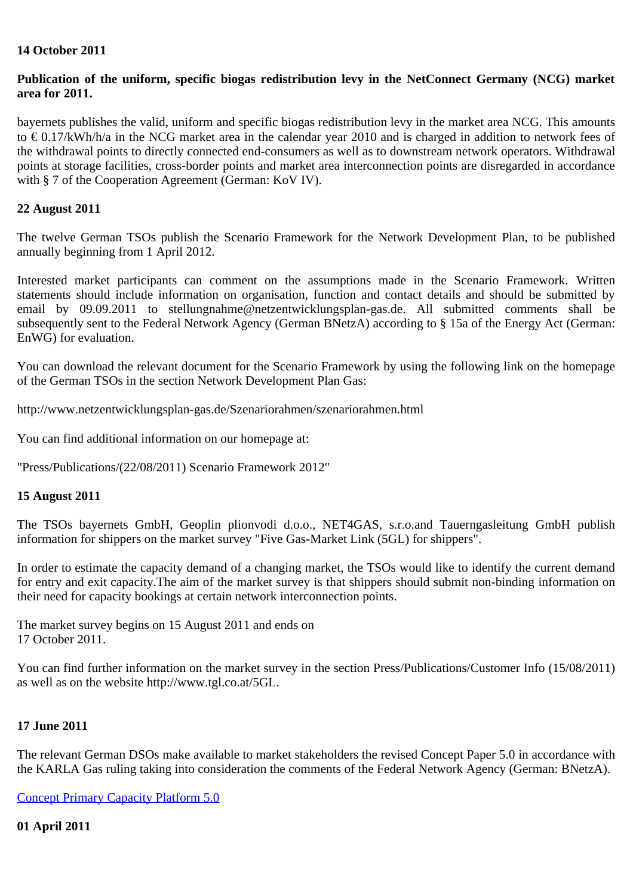## **14 October 2011**

## **Publication of the uniform, specific biogas redistribution levy in the NetConnect Germany (NCG) market area for 2011.**

bayernets publishes the valid, uniform and specific biogas redistribution levy in the market area NCG. This amounts to € 0.17/kWh/h/a in the NCG market area in the calendar year 2010 and is charged in addition to network fees of the withdrawal points to directly connected end-consumers as well as to downstream network operators. Withdrawal points at storage facilities, cross-border points and market area interconnection points are disregarded in accordance with § 7 of the Cooperation Agreement (German: KoV IV).

## **22 August 2011**

The twelve German TSOs publish the Scenario Framework for the Network Development Plan, to be published annually beginning from 1 April 2012.

Interested market participants can comment on the assumptions made in the Scenario Framework. Written statements should include information on organisation, function and contact details and should be submitted by email by 09.09.2011 to stellungnahme@netzentwicklungsplan-gas.de. All submitted comments shall be subsequently sent to the Federal Network Agency (German BNetzA) according to § 15a of the Energy Act (German: EnWG) for evaluation.

You can download the relevant document for the Scenario Framework by using the following link on the homepage of the German TSOs in the section Network Development Plan Gas:

http://www.netzentwicklungsplan-gas.de/Szenariorahmen/szenariorahmen.html

You can find additional information on our homepage at:

"Press/Publications/(22/08/2011) Scenario Framework 2012"

## **15 August 2011**

The TSOs bayernets GmbH, Geoplin plionvodi d.o.o., NET4GAS, s.r.o.and Tauerngasleitung GmbH publish information for shippers on the market survey "Five Gas-Market Link (5GL) for shippers".

In order to estimate the capacity demand of a changing market, the TSOs would like to identify the current demand for entry and exit capacity.The aim of the market survey is that shippers should submit non-binding information on their need for capacity bookings at certain network interconnection points.

The market survey begins on 15 August 2011 and ends on 17 October 2011.

You can find further information on the market survey in the section Press/Publications/Customer Info (15/08/2011) as well as on the website http://www.tgl.co.at/5GL.

# **17 June 2011**

The relevant German DSOs make available to market stakeholders the revised Concept Paper 5.0 in accordance with the KARLA Gas ruling taking into consideration the comments of the Federal Network Agency (German: BNetzA).

[Concept Primary Capacity Platform 5.0](https://transport.bayernets.de/download.aspx?id=160)

## **01 April 2011**